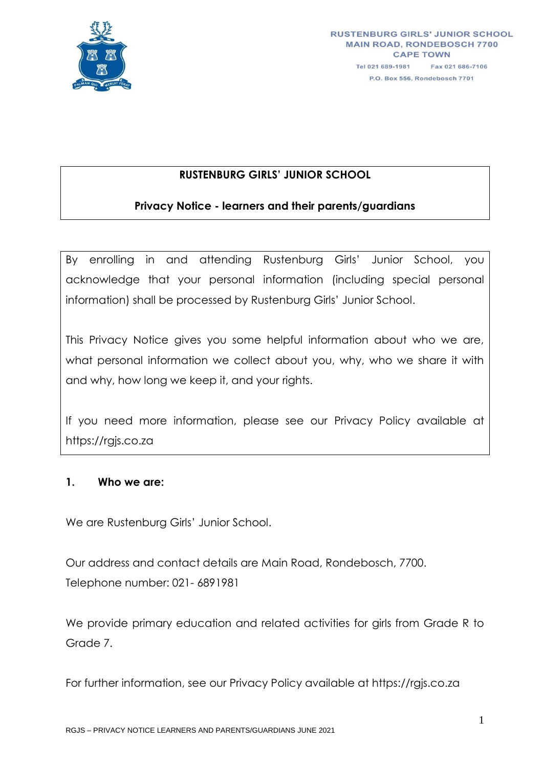

# **RUSTENBURG GIRLS' JUNIOR SCHOOL**

# **Privacy Notice - learners and their parents/guardians**

By enrolling in and attending Rustenburg Girls' Junior School, you acknowledge that your personal information (including special personal information) shall be processed by Rustenburg Girls' Junior School.

This Privacy Notice gives you some helpful information about who we are, what personal information we collect about you, why, who we share it with and why, how long we keep it, and your rights.

If you need more information, please see our Privacy Policy available at https://rgjs.co.za

### **1. Who we are:**

We are Rustenburg Girls' Junior School.

Our address and contact details are Main Road, Rondebosch, 7700. Telephone number: 021- 6891981

We provide primary education and related activities for girls from Grade R to Grade 7.

For further information, see our Privacy Policy available at https://rgjs.co.za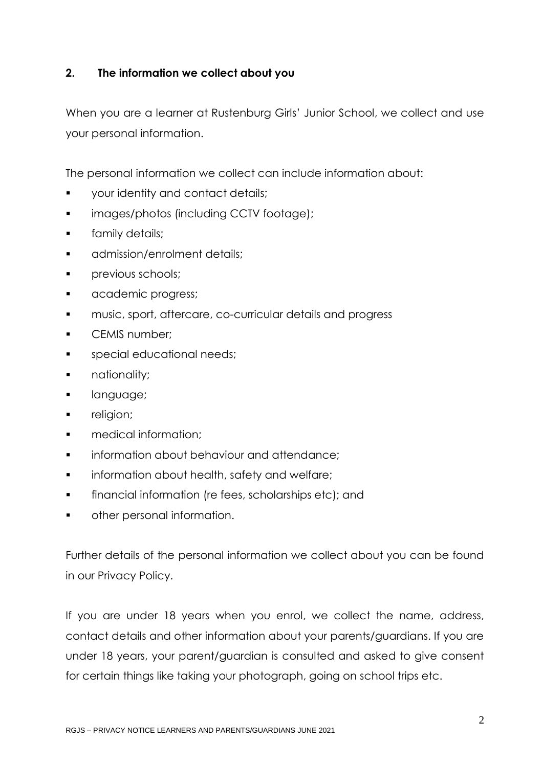# **2. The information we collect about you**

When you are a learner at Rustenburg Girls' Junior School, we collect and use your personal information.

The personal information we collect can include information about:

- **•** your identity and contact details;
- **images/photos (including CCTV footage);**
- **family details;**
- **a** admission/enrolment details;
- **Previous schools;**
- **a** academic progress;
- **EXECO music, sport, aftercare, co-curricular details and progress**
- **CEMIS number:**
- **special educational needs:**
- **nationality;**
- **language;**
- **religion;**
- medical information;
- information about behaviour and attendance;
- **information about health, safety and welfare;**
- **financial information (re fees, scholarships etc); and**
- other personal information.

Further details of the personal information we collect about you can be found in our Privacy Policy.

If you are under 18 years when you enrol, we collect the name, address, contact details and other information about your parents/guardians. If you are under 18 years, your parent/guardian is consulted and asked to give consent for certain things like taking your photograph, going on school trips etc.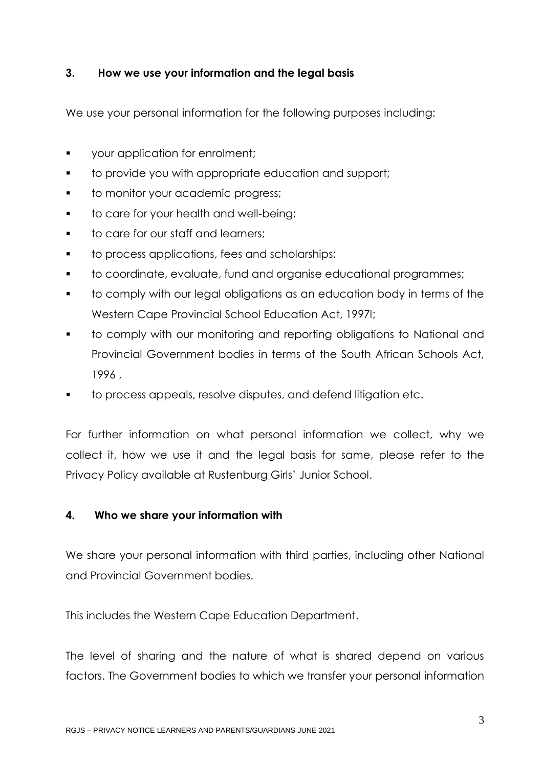### **3. How we use your information and the legal basis**

We use your personal information for the following purposes including:

- **v** your application for enrolment;
- **to provide you with appropriate education and support;**
- **to monitor your academic progress;**
- **to care for your health and well-being;**
- **to care for our staff and learners;**
- **to process applications, fees and scholarships;**
- to coordinate, evaluate, fund and organise educational programmes;
- to comply with our legal obligations as an education body in terms of the Western Cape Provincial School Education Act, 1997l;
- to comply with our monitoring and reporting obligations to National and Provincial Government bodies in terms of the South African Schools Act, 1996 ,
- to process appeals, resolve disputes, and defend litigation etc.

For further information on what personal information we collect, why we collect it, how we use it and the legal basis for same, please refer to the Privacy Policy available at Rustenburg Girls' Junior School.

# **4. Who we share your information with**

We share your personal information with third parties, including other National and Provincial Government bodies.

This includes the Western Cape Education Department.

The level of sharing and the nature of what is shared depend on various factors. The Government bodies to which we transfer your personal information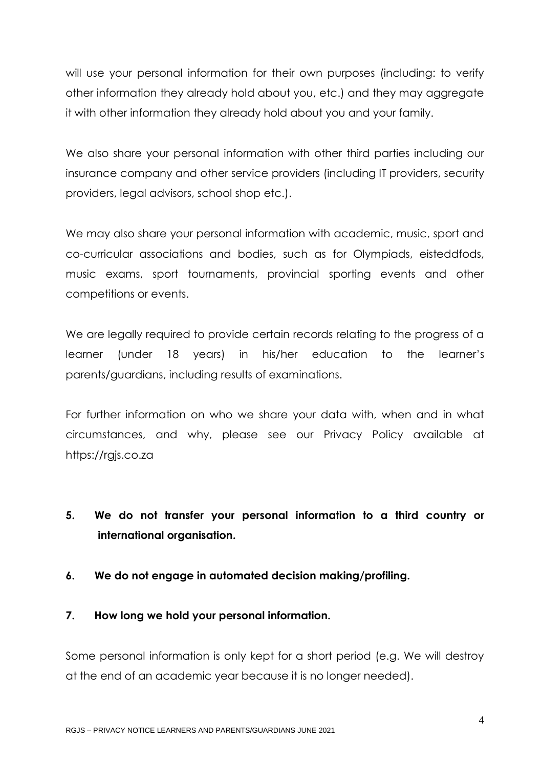will use your personal information for their own purposes (including: to verify other information they already hold about you, etc.) and they may aggregate it with other information they already hold about you and your family.

We also share your personal information with other third parties including our insurance company and other service providers (including IT providers, security providers, legal advisors, school shop etc.).

We may also share your personal information with academic, music, sport and co-curricular associations and bodies, such as for Olympiads, eisteddfods, music exams, sport tournaments, provincial sporting events and other competitions or events.

We are legally required to provide certain records relating to the progress of a learner (under 18 years) in his/her education to the learner's parents/guardians, including results of examinations.

For further information on who we share your data with, when and in what circumstances, and why, please see our Privacy Policy available at https://rgjs.co.za

- **5. We do not transfer your personal information to a third country or international organisation.**
- **6. We do not engage in automated decision making/profiling.**
- **7. How long we hold your personal information.**

Some personal information is only kept for a short period (e.g. We will destroy at the end of an academic year because it is no longer needed).